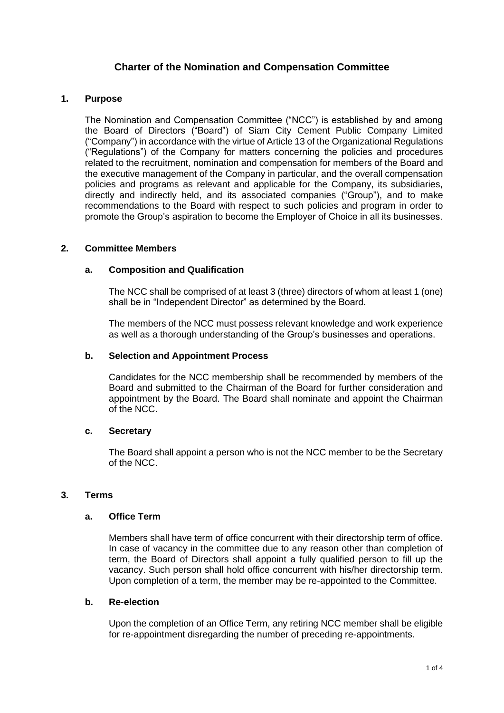# **Charter of the Nomination and Compensation Committee**

# **1. Purpose**

The Nomination and Compensation Committee ("NCC") is established by and among the Board of Directors ("Board") of Siam City Cement Public Company Limited ("Company") in accordance with the virtue of Article 13 of the Organizational Regulations ("Regulations") of the Company for matters concerning the policies and procedures related to the recruitment, nomination and compensation for members of the Board and the executive management of the Company in particular, and the overall compensation policies and programs as relevant and applicable for the Company, its subsidiaries, directly and indirectly held, and its associated companies ("Group"), and to make recommendations to the Board with respect to such policies and program in order to promote the Group's aspiration to become the Employer of Choice in all its businesses.

### **2. Committee Members**

### **a. Composition and Qualification**

The NCC shall be comprised of at least 3 (three) directors of whom at least 1 (one) shall be in "Independent Director" as determined by the Board.

The members of the NCC must possess relevant knowledge and work experience as well as a thorough understanding of the Group's businesses and operations.

### **b. Selection and Appointment Process**

Candidates for the NCC membership shall be recommended by members of the Board and submitted to the Chairman of the Board for further consideration and appointment by the Board. The Board shall nominate and appoint the Chairman of the NCC.

#### **c. Secretary**

The Board shall appoint a person who is not the NCC member to be the Secretary of the NCC.

### **3. Terms**

# **a. Office Term**

Members shall have term of office concurrent with their directorship term of office. In case of vacancy in the committee due to any reason other than completion of term, the Board of Directors shall appoint a fully qualified person to fill up the vacancy. Such person shall hold office concurrent with his/her directorship term. Upon completion of a term, the member may be re-appointed to the Committee.

#### **b. Re-election**

Upon the completion of an Office Term, any retiring NCC member shall be eligible for re-appointment disregarding the number of preceding re-appointments.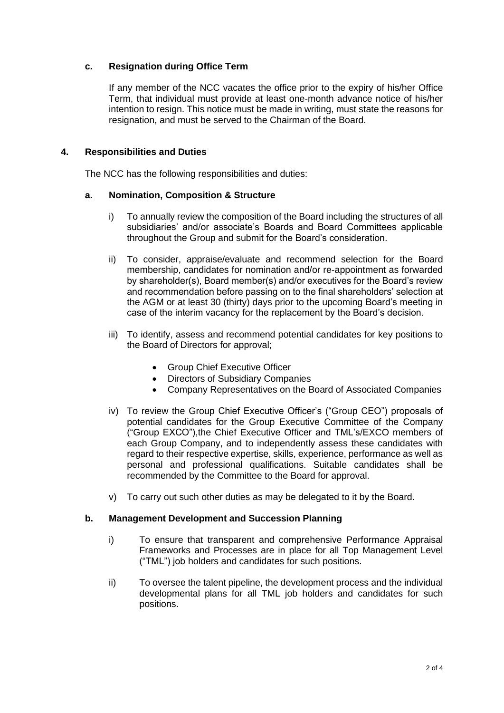# **c. Resignation during Office Term**

If any member of the NCC vacates the office prior to the expiry of his/her Office Term, that individual must provide at least one-month advance notice of his/her intention to resign. This notice must be made in writing, must state the reasons for resignation, and must be served to the Chairman of the Board.

# **4. Responsibilities and Duties**

The NCC has the following responsibilities and duties:

### **a. Nomination, Composition & Structure**

- i) To annually review the composition of the Board including the structures of all subsidiaries' and/or associate's Boards and Board Committees applicable throughout the Group and submit for the Board's consideration.
- ii) To consider, appraise/evaluate and recommend selection for the Board membership, candidates for nomination and/or re-appointment as forwarded by shareholder(s), Board member(s) and/or executives for the Board's review and recommendation before passing on to the final shareholders' selection at the AGM or at least 30 (thirty) days prior to the upcoming Board's meeting in case of the interim vacancy for the replacement by the Board's decision.
- iii) To identify, assess and recommend potential candidates for key positions to the Board of Directors for approval;
	- Group Chief Executive Officer
	- Directors of Subsidiary Companies
	- Company Representatives on the Board of Associated Companies
- iv) To review the Group Chief Executive Officer's ("Group CEO") proposals of potential candidates for the Group Executive Committee of the Company ("Group EXCO"),the Chief Executive Officer and TML's/EXCO members of each Group Company, and to independently assess these candidates with regard to their respective expertise, skills, experience, performance as well as personal and professional qualifications. Suitable candidates shall be recommended by the Committee to the Board for approval.
- v) To carry out such other duties as may be delegated to it by the Board.

# **b. Management Development and Succession Planning**

- i) To ensure that transparent and comprehensive Performance Appraisal Frameworks and Processes are in place for all Top Management Level ("TML") job holders and candidates for such positions.
- ii) To oversee the talent pipeline, the development process and the individual developmental plans for all TML job holders and candidates for such positions.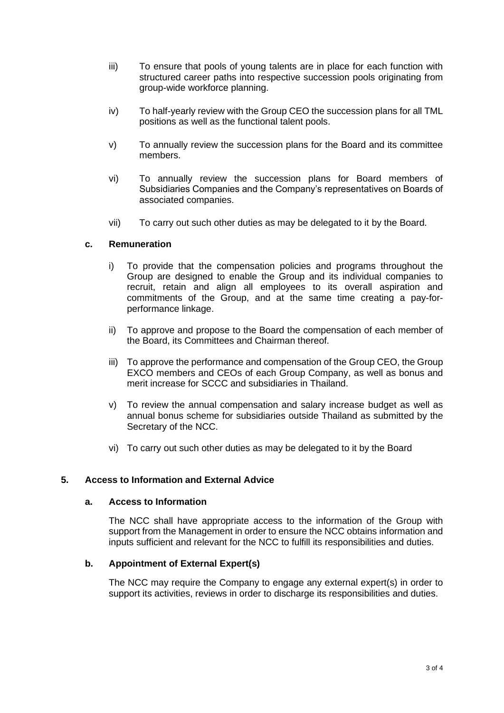- iii) To ensure that pools of young talents are in place for each function with structured career paths into respective succession pools originating from group-wide workforce planning.
- iv) To half-yearly review with the Group CEO the succession plans for all TML positions as well as the functional talent pools.
- v) To annually review the succession plans for the Board and its committee members.
- vi) To annually review the succession plans for Board members of Subsidiaries Companies and the Company's representatives on Boards of associated companies.
- vii) To carry out such other duties as may be delegated to it by the Board.

### **c. Remuneration**

- i) To provide that the compensation policies and programs throughout the Group are designed to enable the Group and its individual companies to recruit, retain and align all employees to its overall aspiration and commitments of the Group, and at the same time creating a pay-forperformance linkage.
- ii) To approve and propose to the Board the compensation of each member of the Board, its Committees and Chairman thereof.
- iii) To approve the performance and compensation of the Group CEO, the Group EXCO members and CEOs of each Group Company, as well as bonus and merit increase for SCCC and subsidiaries in Thailand.
- v) To review the annual compensation and salary increase budget as well as annual bonus scheme for subsidiaries outside Thailand as submitted by the Secretary of the NCC.
- vi) To carry out such other duties as may be delegated to it by the Board

### **5. Access to Information and External Advice**

#### **a. Access to Information**

The NCC shall have appropriate access to the information of the Group with support from the Management in order to ensure the NCC obtains information and inputs sufficient and relevant for the NCC to fulfill its responsibilities and duties.

# **b. Appointment of External Expert(s)**

The NCC may require the Company to engage any external expert(s) in order to support its activities, reviews in order to discharge its responsibilities and duties.